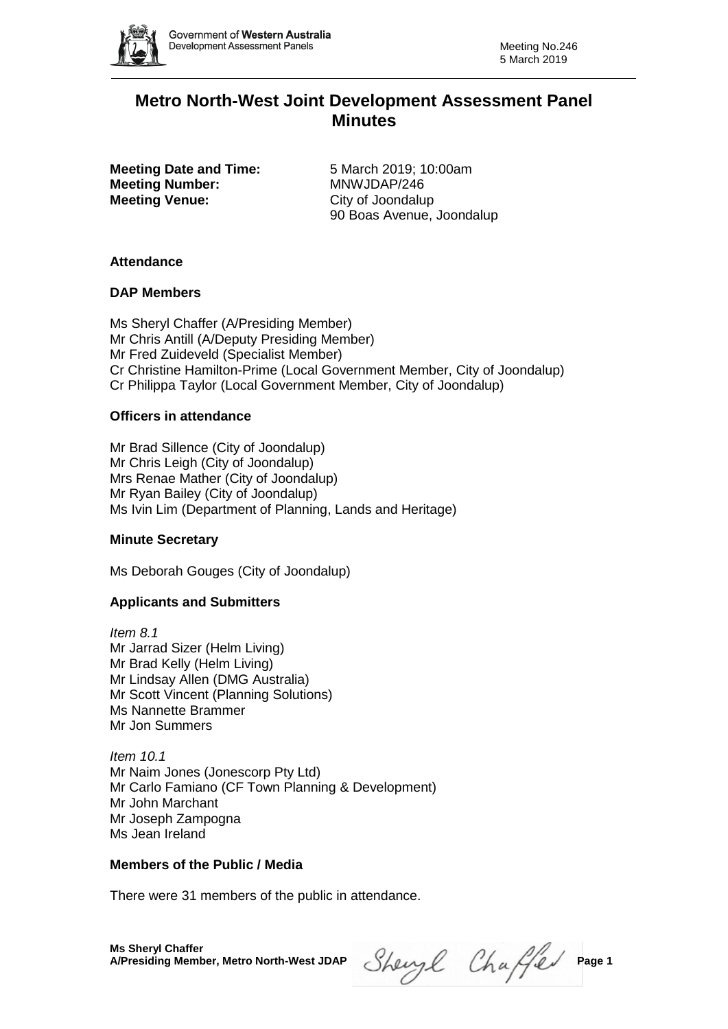

# **Metro North-West Joint Development Assessment Panel Minutes**

**Meeting Date and Time:** 5 March 2019; 10:00am **Meeting Number:** MNWJDAP/246 **Meeting Venue:** City of Joondalup

90 Boas Avenue, Joondalup

# **Attendance**

### **DAP Members**

Ms Sheryl Chaffer (A/Presiding Member) Mr Chris Antill (A/Deputy Presiding Member) Mr Fred Zuideveld (Specialist Member) Cr Christine Hamilton-Prime (Local Government Member, City of Joondalup) Cr Philippa Taylor (Local Government Member, City of Joondalup)

### **Officers in attendance**

Mr Brad Sillence (City of Joondalup) Mr Chris Leigh (City of Joondalup) Mrs Renae Mather (City of Joondalup) Mr Ryan Bailey (City of Joondalup) Ms Ivin Lim (Department of Planning, Lands and Heritage)

# **Minute Secretary**

Ms Deborah Gouges (City of Joondalup)

# **Applicants and Submitters**

*Item 8.1* Mr Jarrad Sizer (Helm Living) Mr Brad Kelly (Helm Living) Mr Lindsay Allen (DMG Australia) Mr Scott Vincent (Planning Solutions) Ms Nannette Brammer Mr Jon Summers

*Item 10.1* Mr Naim Jones (Jonescorp Pty Ltd) Mr Carlo Famiano (CF Town Planning & Development) Mr John Marchant Mr Joseph Zampogna Ms Jean Ireland

#### **Members of the Public / Media**

There were 31 members of the public in attendance.

Sheryl Chaffer Page 1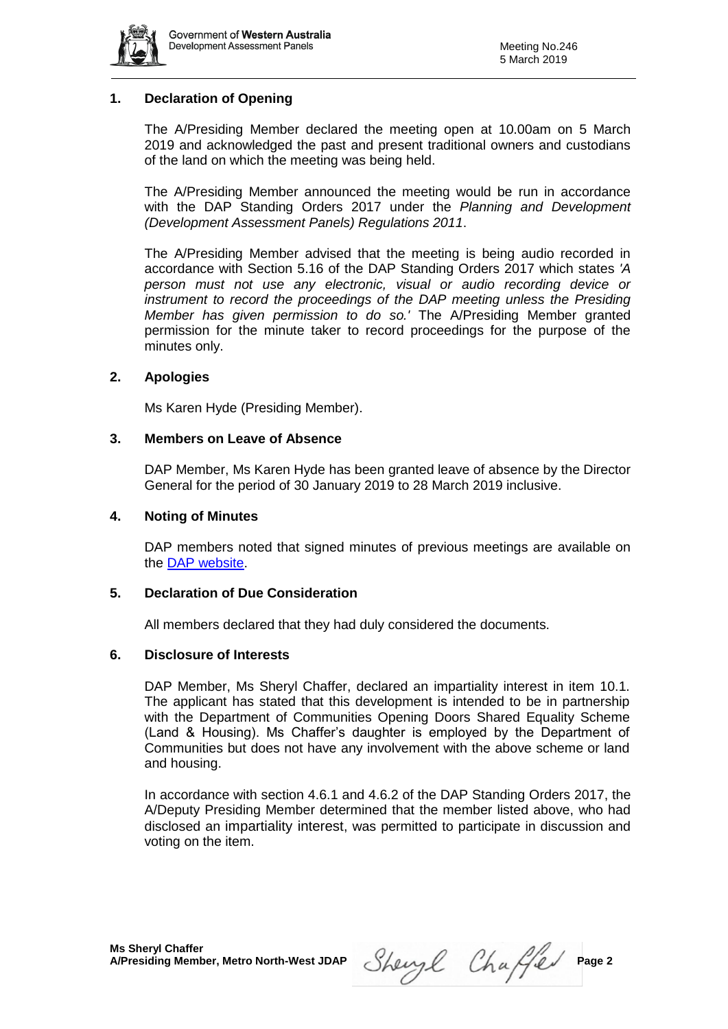

# **1. Declaration of Opening**

The A/Presiding Member declared the meeting open at 10.00am on 5 March 2019 and acknowledged the past and present traditional owners and custodians of the land on which the meeting was being held.

The A/Presiding Member announced the meeting would be run in accordance with the DAP Standing Orders 2017 under the *Planning and Development (Development Assessment Panels) Regulations 2011*.

The A/Presiding Member advised that the meeting is being audio recorded in accordance with Section 5.16 of the DAP Standing Orders 2017 which states *'A person must not use any electronic, visual or audio recording device or instrument to record the proceedings of the DAP meeting unless the Presiding Member has given permission to do so.'* The A/Presiding Member granted permission for the minute taker to record proceedings for the purpose of the minutes only.

### **2. Apologies**

Ms Karen Hyde (Presiding Member).

#### **3. Members on Leave of Absence**

DAP Member, Ms Karen Hyde has been granted leave of absence by the Director General for the period of 30 January 2019 to 28 March 2019 inclusive.

#### **4. Noting of Minutes**

DAP members noted that signed minutes of previous meetings are available on the [DAP website.](https://www.dplh.wa.gov.au/about/development-assessment-panels/daps-agendas-and-minutes)

#### **5. Declaration of Due Consideration**

All members declared that they had duly considered the documents.

#### **6. Disclosure of Interests**

DAP Member, Ms Sheryl Chaffer, declared an impartiality interest in item 10.1. The applicant has stated that this development is intended to be in partnership with the Department of Communities Opening Doors Shared Equality Scheme (Land & Housing). Ms Chaffer's daughter is employed by the Department of Communities but does not have any involvement with the above scheme or land and housing.

In accordance with section 4.6.1 and 4.6.2 of the DAP Standing Orders 2017, the A/Deputy Presiding Member determined that the member listed above, who had disclosed an impartiality interest, was permitted to participate in discussion and voting on the item.

Sheryl Chaffer Page 2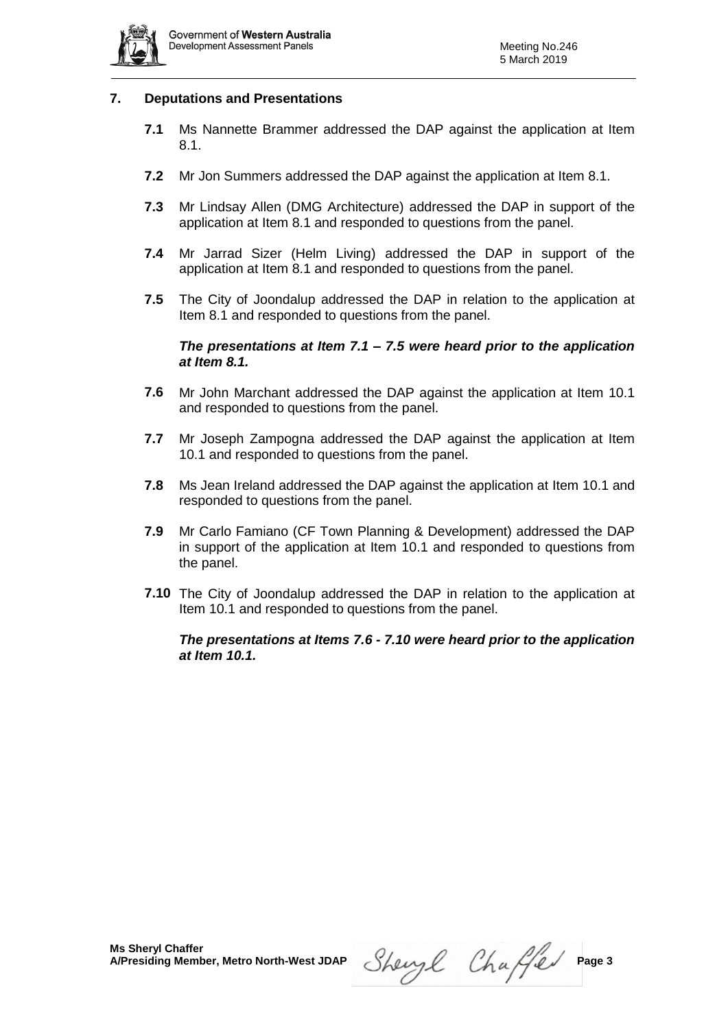

### **7. Deputations and Presentations**

- **7.1** Ms Nannette Brammer addressed the DAP against the application at Item 8.1.
- **7.2** Mr Jon Summers addressed the DAP against the application at Item 8.1.
- **7.3** Mr Lindsay Allen (DMG Architecture) addressed the DAP in support of the application at Item 8.1 and responded to questions from the panel.
- **7.4** Mr Jarrad Sizer (Helm Living) addressed the DAP in support of the application at Item 8.1 and responded to questions from the panel.
- **7.5** The City of Joondalup addressed the DAP in relation to the application at Item 8.1 and responded to questions from the panel.

### *The presentations at Item 7.1 – 7.5 were heard prior to the application at Item 8.1.*

- **7.6** Mr John Marchant addressed the DAP against the application at Item 10.1 and responded to questions from the panel.
- **7.7** Mr Joseph Zampogna addressed the DAP against the application at Item 10.1 and responded to questions from the panel.
- **7.8** Ms Jean Ireland addressed the DAP against the application at Item 10.1 and responded to questions from the panel.
- **7.9** Mr Carlo Famiano (CF Town Planning & Development) addressed the DAP in support of the application at Item 10.1 and responded to questions from the panel.
- **7.10** The City of Joondalup addressed the DAP in relation to the application at Item 10.1 and responded to questions from the panel.

#### *The presentations at Items 7.6 - 7.10 were heard prior to the application at Item 10.1.*

Sheryl Chaffer Page 3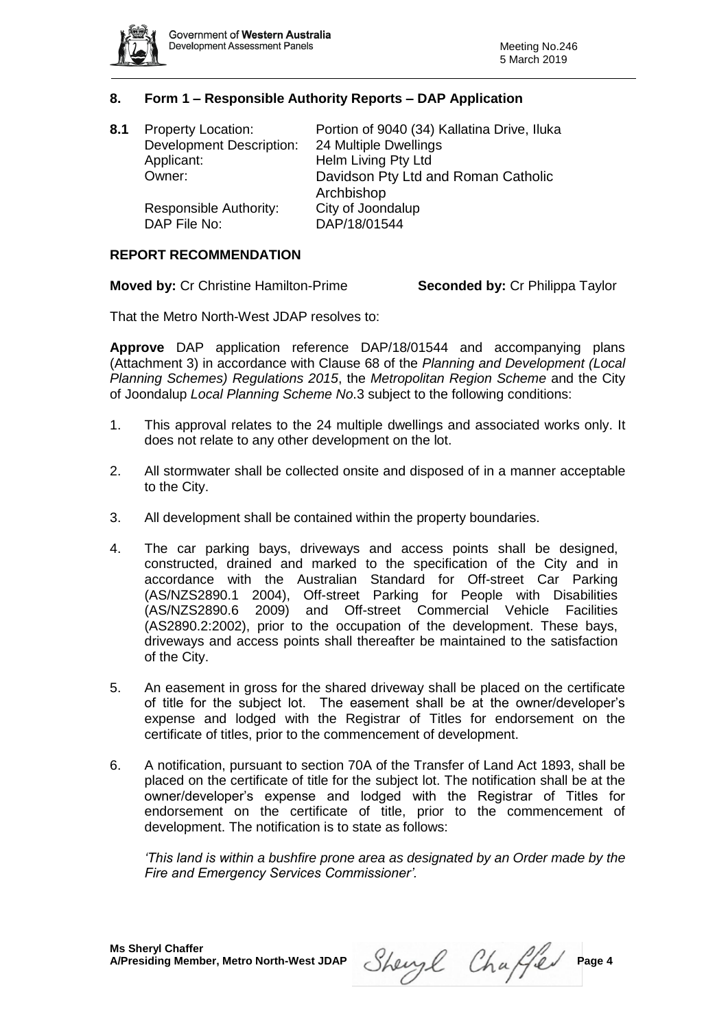

# **8. Form 1 – Responsible Authority Reports – DAP Application**

| 8.1 | <b>Property Location:</b>       | Portion of 9040 (34) Kallatina Drive, Iluka |
|-----|---------------------------------|---------------------------------------------|
|     | <b>Development Description:</b> | 24 Multiple Dwellings                       |
|     | Applicant:                      | Helm Living Pty Ltd                         |
|     | Owner:                          | Davidson Pty Ltd and Roman Catholic         |
|     |                                 | Archbishop                                  |
|     | Responsible Authority:          | City of Joondalup                           |
|     | DAP File No:                    | DAP/18/01544                                |
|     |                                 |                                             |

### **REPORT RECOMMENDATION**

**Moved by:** Cr Christine Hamilton-Prime **Seconded by:** Cr Philippa Taylor

That the Metro North-West JDAP resolves to:

**Approve** DAP application reference DAP/18/01544 and accompanying plans (Attachment 3) in accordance with Clause 68 of the *Planning and Development (Local Planning Schemes) Regulations 2015*, the *Metropolitan Region Scheme* and the City of Joondalup *Local Planning Scheme No*.3 subject to the following conditions:

- 1. This approval relates to the 24 multiple dwellings and associated works only. It does not relate to any other development on the lot.
- 2. All stormwater shall be collected onsite and disposed of in a manner acceptable to the City.
- 3. All development shall be contained within the property boundaries.
- 4. The car parking bays, driveways and access points shall be designed, constructed, drained and marked to the specification of the City and in accordance with the Australian Standard for Off-street Car Parking (AS/NZS2890.1 2004), Off-street Parking for People with Disabilities (AS/NZS2890.6 2009) and Off-street Commercial Vehicle Facilities (AS2890.2:2002), prior to the occupation of the development. These bays, driveways and access points shall thereafter be maintained to the satisfaction of the City.
- 5. An easement in gross for the shared driveway shall be placed on the certificate of title for the subject lot. The easement shall be at the owner/developer's expense and lodged with the Registrar of Titles for endorsement on the certificate of titles, prior to the commencement of development.
- 6. A notification, pursuant to section 70A of the Transfer of Land Act 1893, shall be placed on the certificate of title for the subject lot. The notification shall be at the owner/developer's expense and lodged with the Registrar of Titles for endorsement on the certificate of title, prior to the commencement of development. The notification is to state as follows:

*'This land is within a bushfire prone area as designated by an Order made by the Fire and Emergency Services Commissioner'.*

Sheryl Chaffer Page 4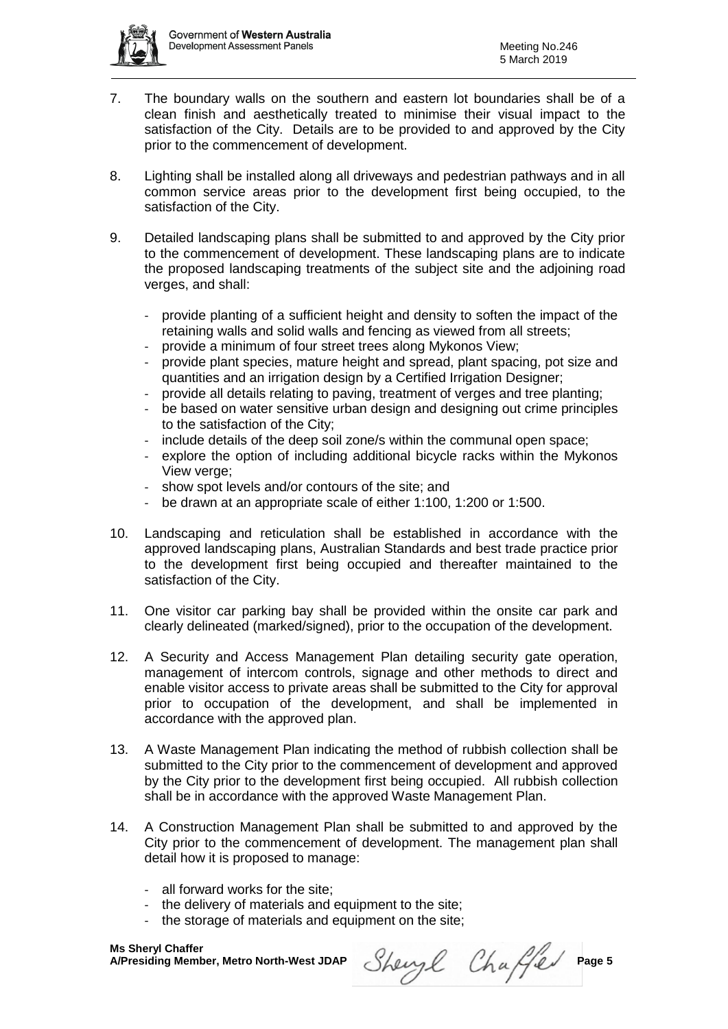- 7. The boundary walls on the southern and eastern lot boundaries shall be of a clean finish and aesthetically treated to minimise their visual impact to the satisfaction of the City. Details are to be provided to and approved by the City prior to the commencement of development.
- 8. Lighting shall be installed along all driveways and pedestrian pathways and in all common service areas prior to the development first being occupied, to the satisfaction of the City.
- 9. Detailed landscaping plans shall be submitted to and approved by the City prior to the commencement of development. These landscaping plans are to indicate the proposed landscaping treatments of the subject site and the adjoining road verges, and shall:
	- provide planting of a sufficient height and density to soften the impact of the retaining walls and solid walls and fencing as viewed from all streets;
	- provide a minimum of four street trees along Mykonos View;
	- provide plant species, mature height and spread, plant spacing, pot size and quantities and an irrigation design by a Certified Irrigation Designer;
	- provide all details relating to paving, treatment of verges and tree planting;
	- be based on water sensitive urban design and designing out crime principles to the satisfaction of the City;
	- include details of the deep soil zone/s within the communal open space;
	- explore the option of including additional bicycle racks within the Mykonos View verge;
	- show spot levels and/or contours of the site; and
	- be drawn at an appropriate scale of either 1:100, 1:200 or 1:500.
- 10. Landscaping and reticulation shall be established in accordance with the approved landscaping plans, Australian Standards and best trade practice prior to the development first being occupied and thereafter maintained to the satisfaction of the City.
- 11. One visitor car parking bay shall be provided within the onsite car park and clearly delineated (marked/signed), prior to the occupation of the development.
- 12. A Security and Access Management Plan detailing security gate operation, management of intercom controls, signage and other methods to direct and enable visitor access to private areas shall be submitted to the City for approval prior to occupation of the development, and shall be implemented in accordance with the approved plan.
- 13. A Waste Management Plan indicating the method of rubbish collection shall be submitted to the City prior to the commencement of development and approved by the City prior to the development first being occupied. All rubbish collection shall be in accordance with the approved Waste Management Plan.
- 14. A Construction Management Plan shall be submitted to and approved by the City prior to the commencement of development. The management plan shall detail how it is proposed to manage:
	- all forward works for the site;
	- the delivery of materials and equipment to the site;
	- the storage of materials and equipment on the site;

Sheryl Chaffer Page 5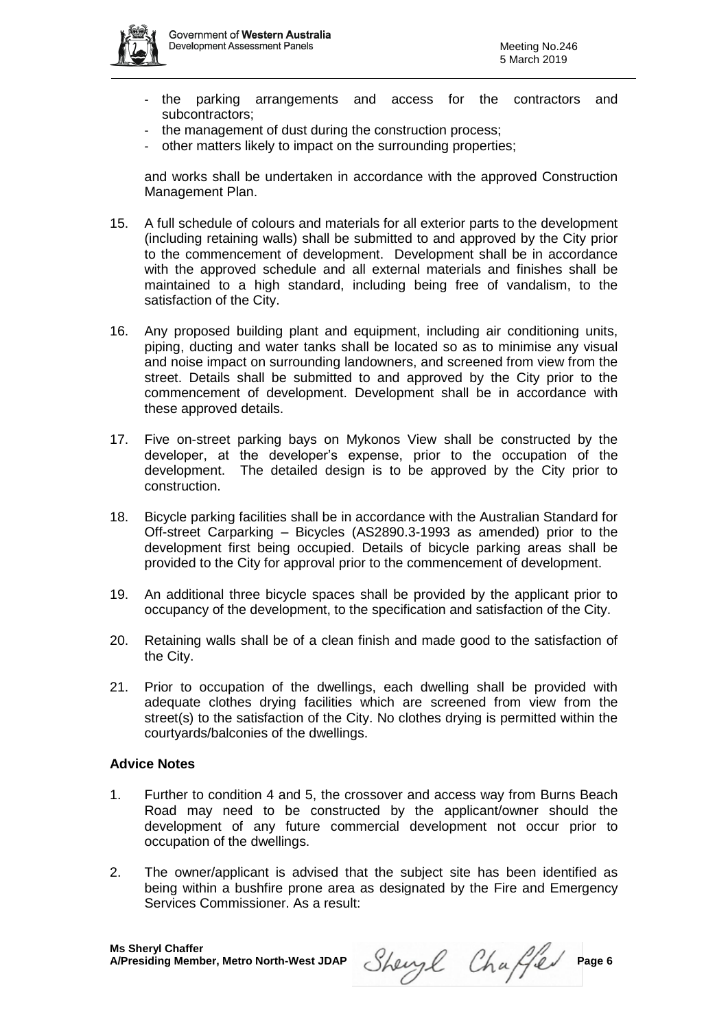

- the parking arrangements and access for the contractors and subcontractors;
- the management of dust during the construction process;
- other matters likely to impact on the surrounding properties;

and works shall be undertaken in accordance with the approved Construction Management Plan.

- 15. A full schedule of colours and materials for all exterior parts to the development (including retaining walls) shall be submitted to and approved by the City prior to the commencement of development. Development shall be in accordance with the approved schedule and all external materials and finishes shall be maintained to a high standard, including being free of vandalism, to the satisfaction of the City.
- 16. Any proposed building plant and equipment, including air conditioning units, piping, ducting and water tanks shall be located so as to minimise any visual and noise impact on surrounding landowners, and screened from view from the street. Details shall be submitted to and approved by the City prior to the commencement of development. Development shall be in accordance with these approved details.
- 17. Five on-street parking bays on Mykonos View shall be constructed by the developer, at the developer's expense, prior to the occupation of the development. The detailed design is to be approved by the City prior to construction.
- 18. Bicycle parking facilities shall be in accordance with the Australian Standard for Off-street Carparking – Bicycles (AS2890.3-1993 as amended) prior to the development first being occupied. Details of bicycle parking areas shall be provided to the City for approval prior to the commencement of development.
- 19. An additional three bicycle spaces shall be provided by the applicant prior to occupancy of the development, to the specification and satisfaction of the City.
- 20. Retaining walls shall be of a clean finish and made good to the satisfaction of the City.
- 21. Prior to occupation of the dwellings, each dwelling shall be provided with adequate clothes drying facilities which are screened from view from the street(s) to the satisfaction of the City. No clothes drying is permitted within the courtyards/balconies of the dwellings.

#### **Advice Notes**

- 1. Further to condition 4 and 5, the crossover and access way from Burns Beach Road may need to be constructed by the applicant/owner should the development of any future commercial development not occur prior to occupation of the dwellings.
- 2. The owner/applicant is advised that the subject site has been identified as being within a bushfire prone area as designated by the Fire and Emergency Services Commissioner. As a result:

Sheryl Chaffer Page 6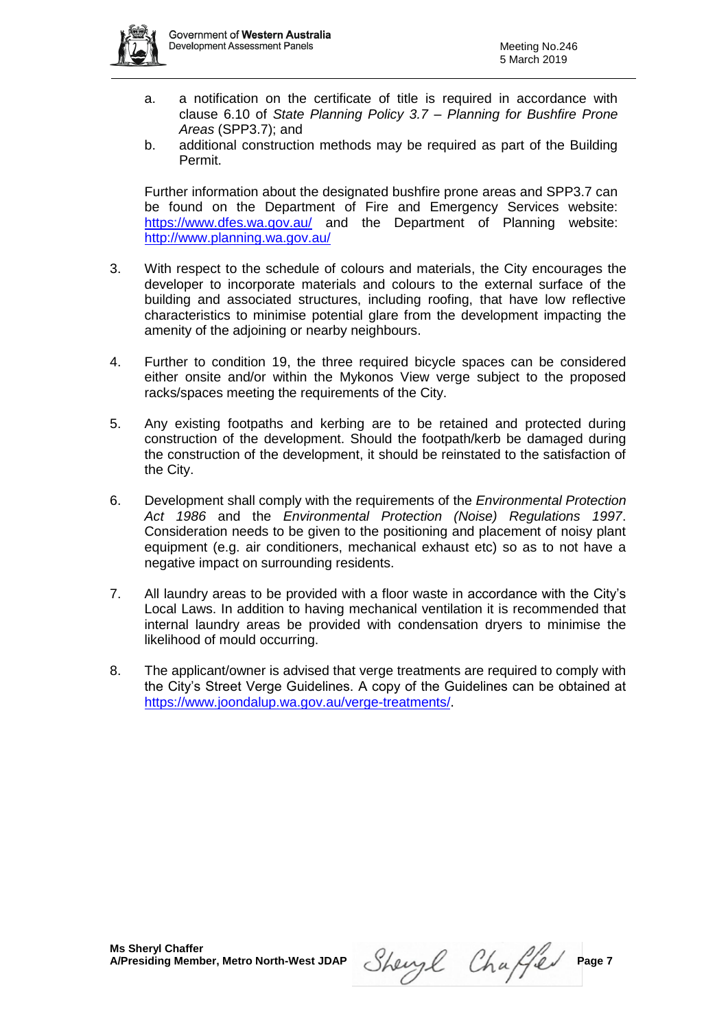

- a. a notification on the certificate of title is required in accordance with clause 6.10 of *State Planning Policy 3.7 – Planning for Bushfire Prone Areas* (SPP3.7); and
- b. additional construction methods may be required as part of the Building Permit.

Further information about the designated bushfire prone areas and SPP3.7 can be found on the Department of Fire and Emergency Services website: <https://www.dfes.wa.gov.au/> and the Department of Planning website: <http://www.planning.wa.gov.au/>

- 3. With respect to the schedule of colours and materials, the City encourages the developer to incorporate materials and colours to the external surface of the building and associated structures, including roofing, that have low reflective characteristics to minimise potential glare from the development impacting the amenity of the adjoining or nearby neighbours.
- 4. Further to condition 19, the three required bicycle spaces can be considered either onsite and/or within the Mykonos View verge subject to the proposed racks/spaces meeting the requirements of the City.
- 5. Any existing footpaths and kerbing are to be retained and protected during construction of the development. Should the footpath/kerb be damaged during the construction of the development, it should be reinstated to the satisfaction of the City.
- 6. Development shall comply with the requirements of the *Environmental Protection Act 1986* and the *Environmental Protection (Noise) Regulations 1997*. Consideration needs to be given to the positioning and placement of noisy plant equipment (e.g. air conditioners, mechanical exhaust etc) so as to not have a negative impact on surrounding residents.
- 7. All laundry areas to be provided with a floor waste in accordance with the City's Local Laws. In addition to having mechanical ventilation it is recommended that internal laundry areas be provided with condensation dryers to minimise the likelihood of mould occurring.
- 8. The applicant/owner is advised that verge treatments are required to comply with the City's Street Verge Guidelines. A copy of the Guidelines can be obtained at <https://www.joondalup.wa.gov.au/verge-treatments/>.

Sheryl Chaffer Page 7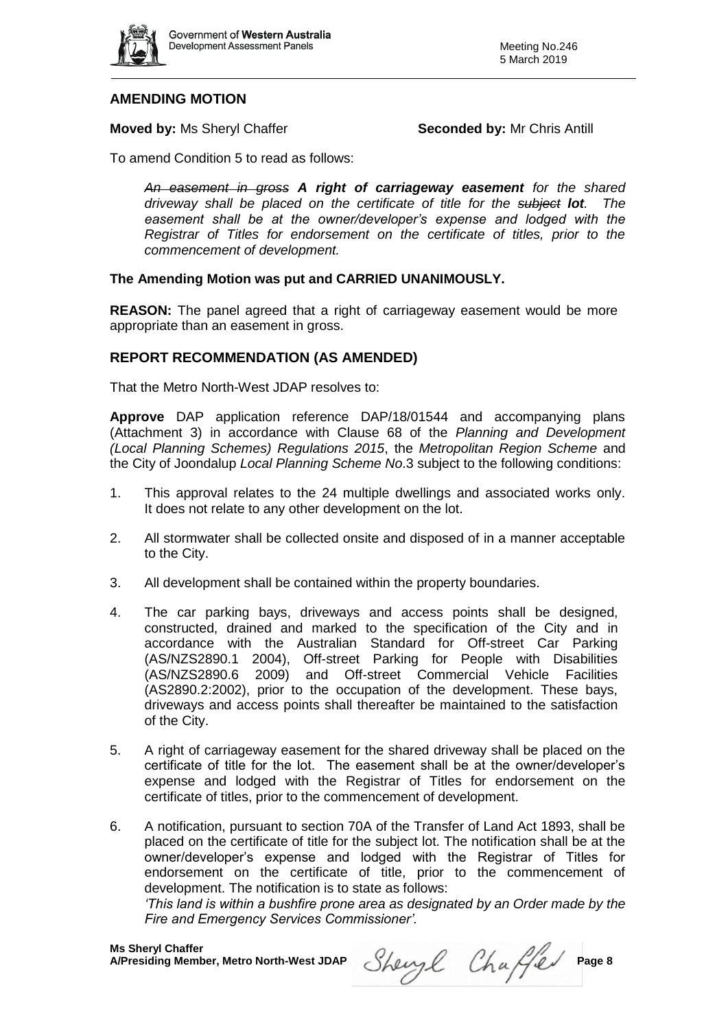

# **AMENDING MOTION**

# **Moved by:** Ms Sheryl Chaffer **Seconded by:** Mr Chris Antill

To amend Condition 5 to read as follows:

*An easement in gross A right of carriageway easement for the shared driveway shall be placed on the certificate of title for the subject lot. The easement shall be at the owner/developer's expense and lodged with the Registrar of Titles for endorsement on the certificate of titles, prior to the commencement of development.*

# **The Amending Motion was put and CARRIED UNANIMOUSLY.**

**REASON:** The panel agreed that a right of carriageway easement would be more appropriate than an easement in gross.

# **REPORT RECOMMENDATION (AS AMENDED)**

That the Metro North-West JDAP resolves to:

**Approve** DAP application reference DAP/18/01544 and accompanying plans (Attachment 3) in accordance with Clause 68 of the *Planning and Development (Local Planning Schemes) Regulations 2015*, the *Metropolitan Region Scheme* and the City of Joondalup *Local Planning Scheme No*.3 subject to the following conditions:

- 1. This approval relates to the 24 multiple dwellings and associated works only. It does not relate to any other development on the lot.
- 2. All stormwater shall be collected onsite and disposed of in a manner acceptable to the City.
- 3. All development shall be contained within the property boundaries.
- 4. The car parking bays, driveways and access points shall be designed, constructed, drained and marked to the specification of the City and in accordance with the Australian Standard for Off-street Car Parking (AS/NZS2890.1 2004), Off-street Parking for People with Disabilities (AS/NZS2890.6 2009) and Off-street Commercial Vehicle Facilities (AS2890.2:2002), prior to the occupation of the development. These bays, driveways and access points shall thereafter be maintained to the satisfaction of the City.
- 5. A right of carriageway easement for the shared driveway shall be placed on the certificate of title for the lot. The easement shall be at the owner/developer's expense and lodged with the Registrar of Titles for endorsement on the certificate of titles, prior to the commencement of development.
- 6. A notification, pursuant to section 70A of the Transfer of Land Act 1893, shall be placed on the certificate of title for the subject lot. The notification shall be at the owner/developer's expense and lodged with the Registrar of Titles for endorsement on the certificate of title, prior to the commencement of development. The notification is to state as follows:

*'This land is within a bushfire prone area as designated by an Order made by the Fire and Emergency Services Commissioner'.*

Sheryl Chaffer Page 8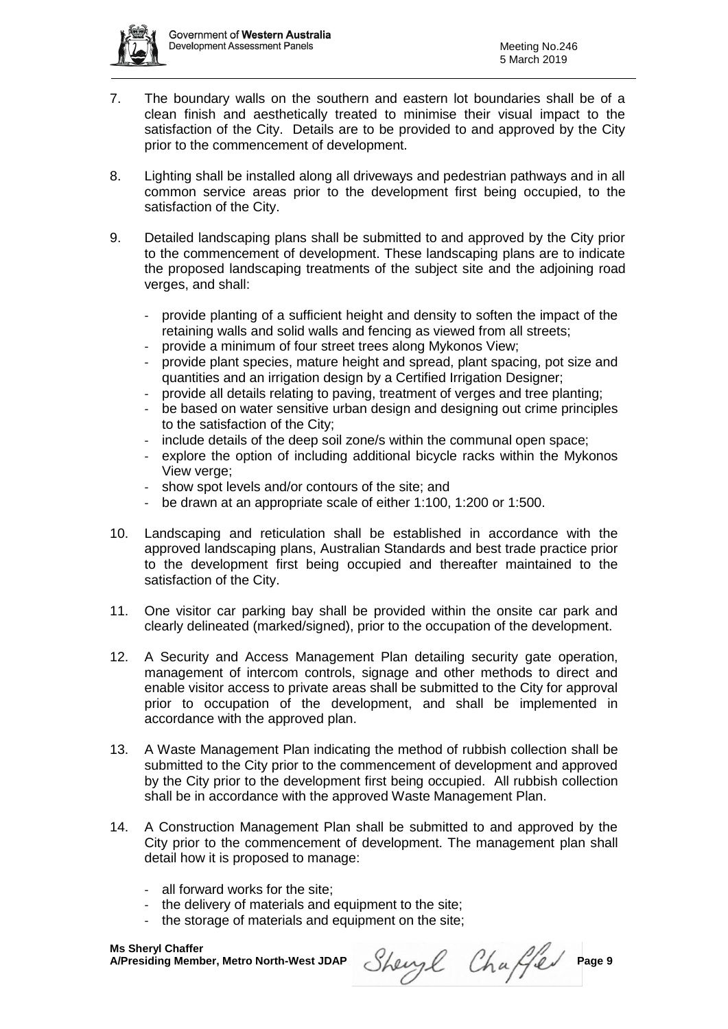- 7. The boundary walls on the southern and eastern lot boundaries shall be of a clean finish and aesthetically treated to minimise their visual impact to the satisfaction of the City. Details are to be provided to and approved by the City prior to the commencement of development.
- 8. Lighting shall be installed along all driveways and pedestrian pathways and in all common service areas prior to the development first being occupied, to the satisfaction of the City.
- 9. Detailed landscaping plans shall be submitted to and approved by the City prior to the commencement of development. These landscaping plans are to indicate the proposed landscaping treatments of the subject site and the adjoining road verges, and shall:
	- provide planting of a sufficient height and density to soften the impact of the retaining walls and solid walls and fencing as viewed from all streets;
	- provide a minimum of four street trees along Mykonos View;
	- provide plant species, mature height and spread, plant spacing, pot size and quantities and an irrigation design by a Certified Irrigation Designer;
	- provide all details relating to paving, treatment of verges and tree planting;
	- be based on water sensitive urban design and designing out crime principles to the satisfaction of the City;
	- include details of the deep soil zone/s within the communal open space;
	- explore the option of including additional bicycle racks within the Mykonos View verge;
	- show spot levels and/or contours of the site; and
	- be drawn at an appropriate scale of either 1:100, 1:200 or 1:500.
- 10. Landscaping and reticulation shall be established in accordance with the approved landscaping plans, Australian Standards and best trade practice prior to the development first being occupied and thereafter maintained to the satisfaction of the City.
- 11. One visitor car parking bay shall be provided within the onsite car park and clearly delineated (marked/signed), prior to the occupation of the development.
- 12. A Security and Access Management Plan detailing security gate operation, management of intercom controls, signage and other methods to direct and enable visitor access to private areas shall be submitted to the City for approval prior to occupation of the development, and shall be implemented in accordance with the approved plan.
- 13. A Waste Management Plan indicating the method of rubbish collection shall be submitted to the City prior to the commencement of development and approved by the City prior to the development first being occupied. All rubbish collection shall be in accordance with the approved Waste Management Plan.
- 14. A Construction Management Plan shall be submitted to and approved by the City prior to the commencement of development. The management plan shall detail how it is proposed to manage:
	- all forward works for the site;
	- the delivery of materials and equipment to the site;
	- the storage of materials and equipment on the site;

Sheryl Chaffer Page 9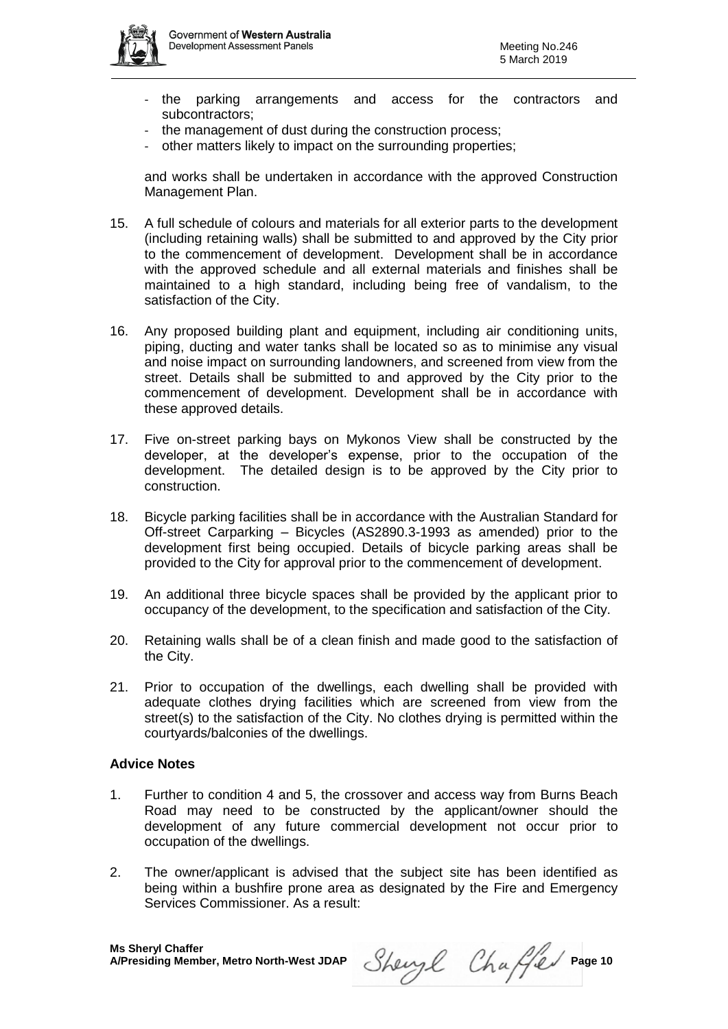

- the parking arrangements and access for the contractors and subcontractors;
- the management of dust during the construction process;
- other matters likely to impact on the surrounding properties;

and works shall be undertaken in accordance with the approved Construction Management Plan.

- 15. A full schedule of colours and materials for all exterior parts to the development (including retaining walls) shall be submitted to and approved by the City prior to the commencement of development. Development shall be in accordance with the approved schedule and all external materials and finishes shall be maintained to a high standard, including being free of vandalism, to the satisfaction of the City.
- 16. Any proposed building plant and equipment, including air conditioning units, piping, ducting and water tanks shall be located so as to minimise any visual and noise impact on surrounding landowners, and screened from view from the street. Details shall be submitted to and approved by the City prior to the commencement of development. Development shall be in accordance with these approved details.
- 17. Five on-street parking bays on Mykonos View shall be constructed by the developer, at the developer's expense, prior to the occupation of the development. The detailed design is to be approved by the City prior to construction.
- 18. Bicycle parking facilities shall be in accordance with the Australian Standard for Off-street Carparking – Bicycles (AS2890.3-1993 as amended) prior to the development first being occupied. Details of bicycle parking areas shall be provided to the City for approval prior to the commencement of development.
- 19. An additional three bicycle spaces shall be provided by the applicant prior to occupancy of the development, to the specification and satisfaction of the City.
- 20. Retaining walls shall be of a clean finish and made good to the satisfaction of the City.
- 21. Prior to occupation of the dwellings, each dwelling shall be provided with adequate clothes drying facilities which are screened from view from the street(s) to the satisfaction of the City. No clothes drying is permitted within the courtyards/balconies of the dwellings.

#### **Advice Notes**

- 1. Further to condition 4 and 5, the crossover and access way from Burns Beach Road may need to be constructed by the applicant/owner should the development of any future commercial development not occur prior to occupation of the dwellings.
- 2. The owner/applicant is advised that the subject site has been identified as being within a bushfire prone area as designated by the Fire and Emergency Services Commissioner. As a result:

Sheryl Chaffer Page 10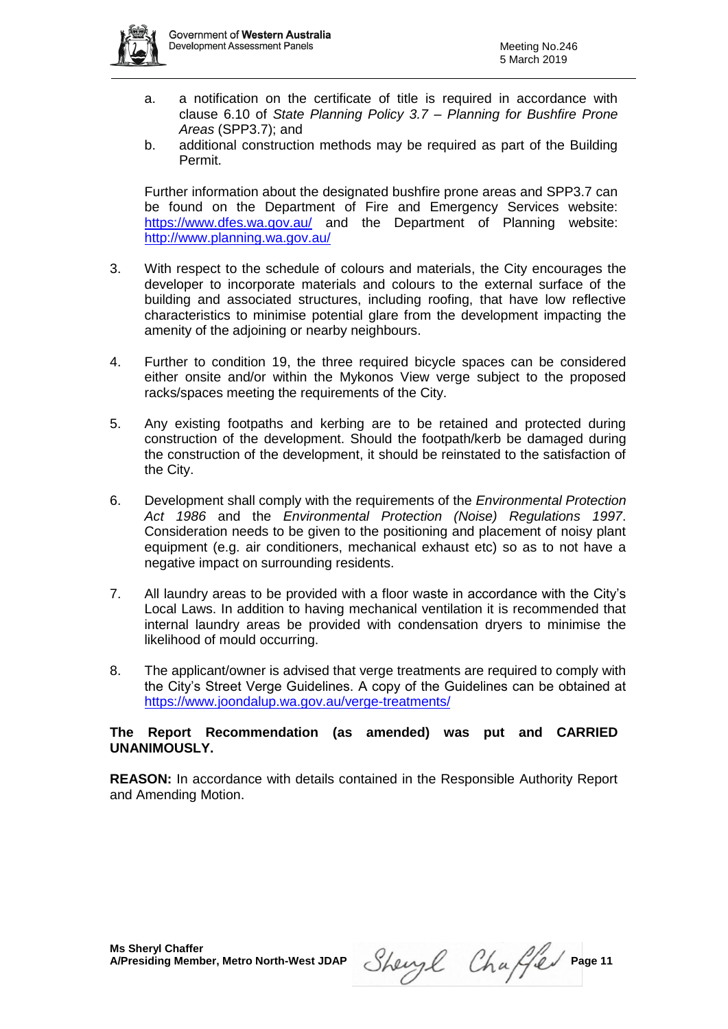

- a. a notification on the certificate of title is required in accordance with clause 6.10 of *State Planning Policy 3.7 – Planning for Bushfire Prone Areas* (SPP3.7); and
- b. additional construction methods may be required as part of the Building Permit.

Further information about the designated bushfire prone areas and SPP3.7 can be found on the Department of Fire and Emergency Services website: <https://www.dfes.wa.gov.au/> and the Department of Planning website: <http://www.planning.wa.gov.au/>

- 3. With respect to the schedule of colours and materials, the City encourages the developer to incorporate materials and colours to the external surface of the building and associated structures, including roofing, that have low reflective characteristics to minimise potential glare from the development impacting the amenity of the adjoining or nearby neighbours.
- 4. Further to condition 19, the three required bicycle spaces can be considered either onsite and/or within the Mykonos View verge subject to the proposed racks/spaces meeting the requirements of the City.
- 5. Any existing footpaths and kerbing are to be retained and protected during construction of the development. Should the footpath/kerb be damaged during the construction of the development, it should be reinstated to the satisfaction of the City.
- 6. Development shall comply with the requirements of the *Environmental Protection Act 1986* and the *Environmental Protection (Noise) Regulations 1997*. Consideration needs to be given to the positioning and placement of noisy plant equipment (e.g. air conditioners, mechanical exhaust etc) so as to not have a negative impact on surrounding residents.
- 7. All laundry areas to be provided with a floor waste in accordance with the City's Local Laws. In addition to having mechanical ventilation it is recommended that internal laundry areas be provided with condensation dryers to minimise the likelihood of mould occurring.
- 8. The applicant/owner is advised that verge treatments are required to comply with the City's Street Verge Guidelines. A copy of the Guidelines can be obtained at <https://www.joondalup.wa.gov.au/verge-treatments/>

### **The Report Recommendation (as amended) was put and CARRIED UNANIMOUSLY.**

**REASON:** In accordance with details contained in the Responsible Authority Report and Amending Motion.

Sheryl Chaffer Page 11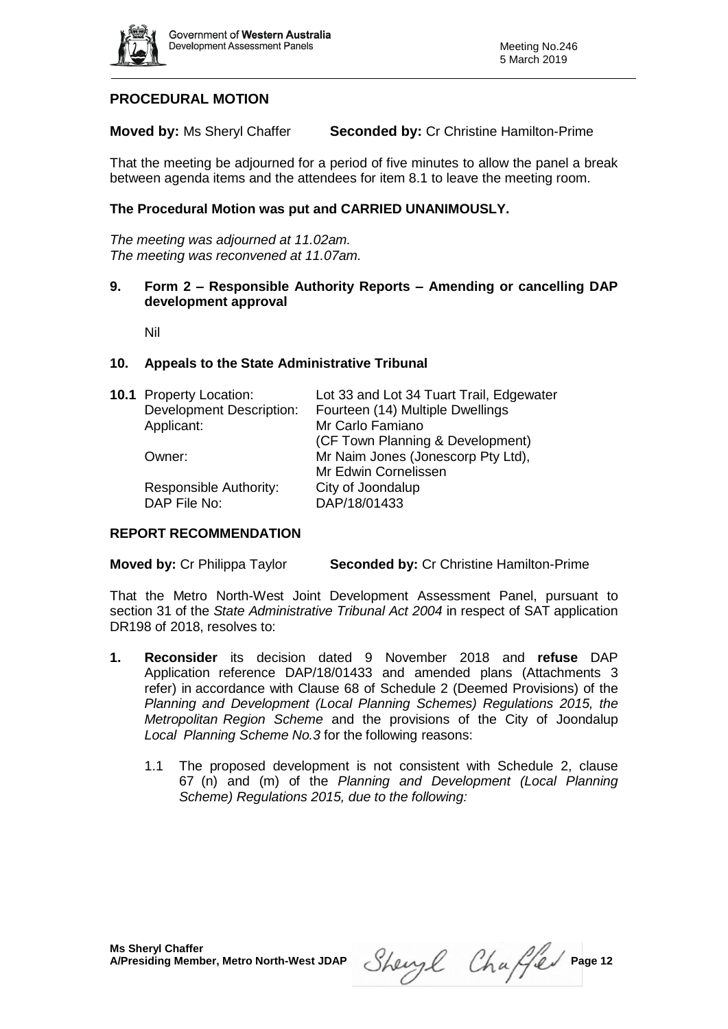

# **PROCEDURAL MOTION**

**Moved by:** Ms Sheryl Chaffer **Seconded by:** Cr Christine Hamilton-Prime

That the meeting be adjourned for a period of five minutes to allow the panel a break between agenda items and the attendees for item 8.1 to leave the meeting room.

# **The Procedural Motion was put and CARRIED UNANIMOUSLY.**

*The meeting was adjourned at 11.02am. The meeting was reconvened at 11.07am.*

#### **9. Form 2 – Responsible Authority Reports – Amending or cancelling DAP development approval**

Nil

### **10. Appeals to the State Administrative Tribunal**

| <b>10.1</b> Property Location:  | Lot 33 and Lot 34 Tuart Trail, Edgewater |
|---------------------------------|------------------------------------------|
| <b>Development Description:</b> | Fourteen (14) Multiple Dwellings         |
| Applicant:                      | Mr Carlo Famiano                         |
|                                 | (CF Town Planning & Development)         |
| Owner:                          | Mr Naim Jones (Jonescorp Pty Ltd),       |
|                                 | Mr Edwin Cornelissen                     |
| Responsible Authority:          | City of Joondalup                        |
| DAP File No:                    | DAP/18/01433                             |
|                                 |                                          |

#### **REPORT RECOMMENDATION**

**Moved by:** Cr Philippa Taylor **Seconded by:** Cr Christine Hamilton-Prime

That the Metro North-West Joint Development Assessment Panel, pursuant to section 31 of the *State Administrative Tribunal Act 2004* in respect of SAT application DR198 of 2018, resolves to:

- **1. Reconsider** its decision dated 9 November 2018 and **refuse** DAP Application reference DAP/18/01433 and amended plans (Attachments 3 refer) in accordance with Clause 68 of Schedule 2 (Deemed Provisions) of the *Planning and Development (Local Planning Schemes) Regulations 2015, the Metropolitan Region Scheme* and the provisions of the City of Joondalup *Local Planning Scheme No.3* for the following reasons:
	- 1.1 The proposed development is not consistent with Schedule 2, clause 67 (n) and (m) of the *Planning and Development (Local Planning Scheme) Regulations 2015, due to the following:*

Sheryl Chaffer Page 12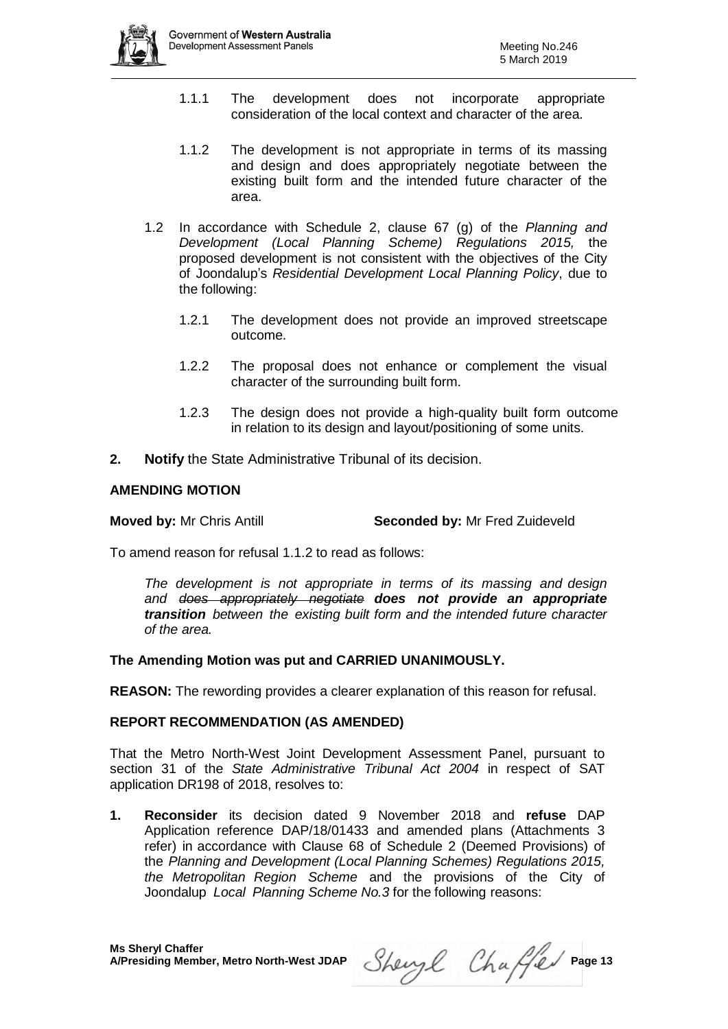

- 1.1.1 The development does not incorporate appropriate consideration of the local context and character of the area.
- 1.1.2 The development is not appropriate in terms of its massing and design and does appropriately negotiate between the existing built form and the intended future character of the area.
- 1.2 In accordance with Schedule 2, clause 67 (g) of the *Planning and Development (Local Planning Scheme) Regulations 2015,* the proposed development is not consistent with the objectives of the City of Joondalup's *Residential Development Local Planning Policy*, due to the following:
	- 1.2.1 The development does not provide an improved streetscape outcome.
	- 1.2.2 The proposal does not enhance or complement the visual character of the surrounding built form.
	- 1.2.3 The design does not provide a high-quality built form outcome in relation to its design and layout/positioning of some units.
- **2. Notify** the State Administrative Tribunal of its decision.

### **AMENDING MOTION**

**Moved by:** Mr Chris Antill **Seconded by:** Mr Fred Zuideveld

To amend reason for refusal 1.1.2 to read as follows:

*The development is not appropriate in terms of its massing and design and does appropriately negotiate does not provide an appropriate transition between the existing built form and the intended future character of the area.*

#### **The Amending Motion was put and CARRIED UNANIMOUSLY.**

**REASON:** The rewording provides a clearer explanation of this reason for refusal.

#### **REPORT RECOMMENDATION (AS AMENDED)**

That the Metro North-West Joint Development Assessment Panel, pursuant to section 31 of the *State Administrative Tribunal Act 2004* in respect of SAT application DR198 of 2018, resolves to:

**1. Reconsider** its decision dated 9 November 2018 and **refuse** DAP Application reference DAP/18/01433 and amended plans (Attachments 3 refer) in accordance with Clause 68 of Schedule 2 (Deemed Provisions) of the *Planning and Development (Local Planning Schemes) Regulations 2015, the Metropolitan Region Scheme* and the provisions of the City of Joondalup *Local Planning Scheme No.3* for the following reasons:

Sheryl Chaffer Page 13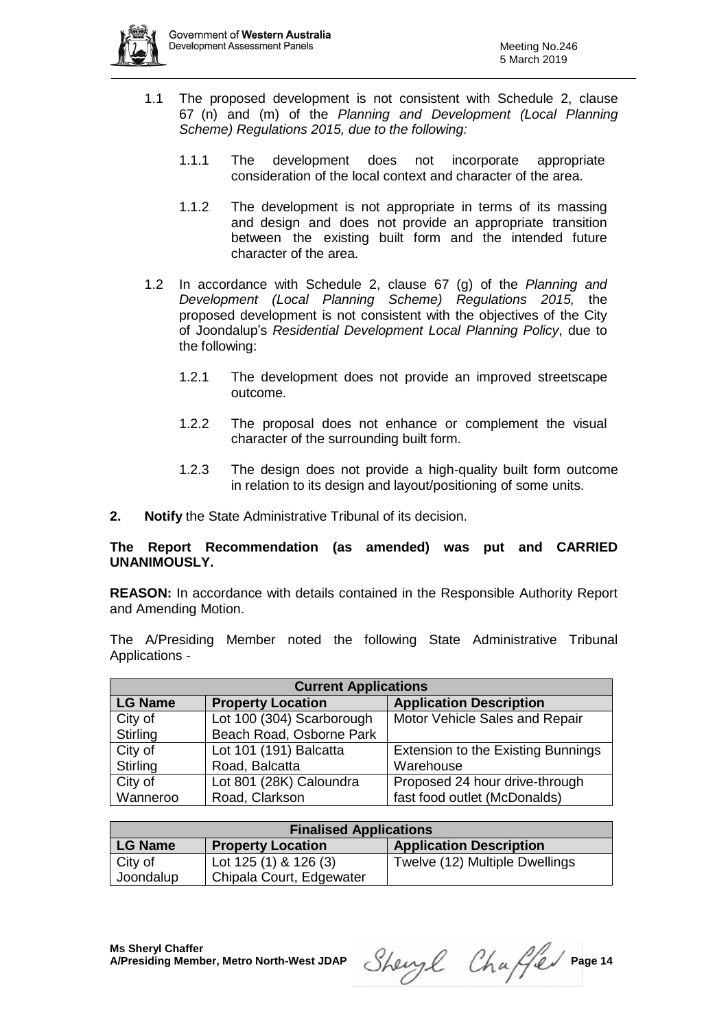

- 1.1 The proposed development is not consistent with Schedule 2, clause 67 (n) and (m) of the *Planning and Development (Local Planning Scheme) Regulations 2015, due to the following:*
	- 1.1.1 The development does not incorporate appropriate consideration of the local context and character of the area.
	- 1.1.2 The development is not appropriate in terms of its massing and design and does not provide an appropriate transition between the existing built form and the intended future character of the area.
- 1.2 In accordance with Schedule 2, clause 67 (g) of the *Planning and Development (Local Planning Scheme) Regulations 2015,* the proposed development is not consistent with the objectives of the City of Joondalup's *Residential Development Local Planning Policy*, due to the following:
	- 1.2.1 The development does not provide an improved streetscape outcome.
	- 1.2.2 The proposal does not enhance or complement the visual character of the surrounding built form.
	- 1.2.3 The design does not provide a high-quality built form outcome in relation to its design and layout/positioning of some units.
- **2. Notify** the State Administrative Tribunal of its decision.

# **The Report Recommendation (as amended) was put and CARRIED UNANIMOUSLY.**

**REASON:** In accordance with details contained in the Responsible Authority Report and Amending Motion.

The A/Presiding Member noted the following State Administrative Tribunal Applications -

| <b>Current Applications</b> |                           |                                           |  |  |  |  |
|-----------------------------|---------------------------|-------------------------------------------|--|--|--|--|
| <b>LG Name</b>              | <b>Property Location</b>  | <b>Application Description</b>            |  |  |  |  |
| City of                     | Lot 100 (304) Scarborough | Motor Vehicle Sales and Repair            |  |  |  |  |
| Stirling                    | Beach Road, Osborne Park  |                                           |  |  |  |  |
| City of                     | Lot 101 (191) Balcatta    | <b>Extension to the Existing Bunnings</b> |  |  |  |  |
| Stirling                    | Road, Balcatta            | Warehouse                                 |  |  |  |  |
| City of                     | Lot 801 (28K) Caloundra   | Proposed 24 hour drive-through            |  |  |  |  |
| Wanneroo                    | Road, Clarkson            | fast food outlet (McDonalds)              |  |  |  |  |

| <b>Finalised Applications</b> |                          |                                |  |  |  |  |
|-------------------------------|--------------------------|--------------------------------|--|--|--|--|
| LG Name                       | <b>Property Location</b> | <b>Application Description</b> |  |  |  |  |
| City of                       | Lot $125(1)$ & $126(3)$  | Twelve (12) Multiple Dwellings |  |  |  |  |
| Joondalup                     | Chipala Court, Edgewater |                                |  |  |  |  |

Sheryl Chaffer Page 14